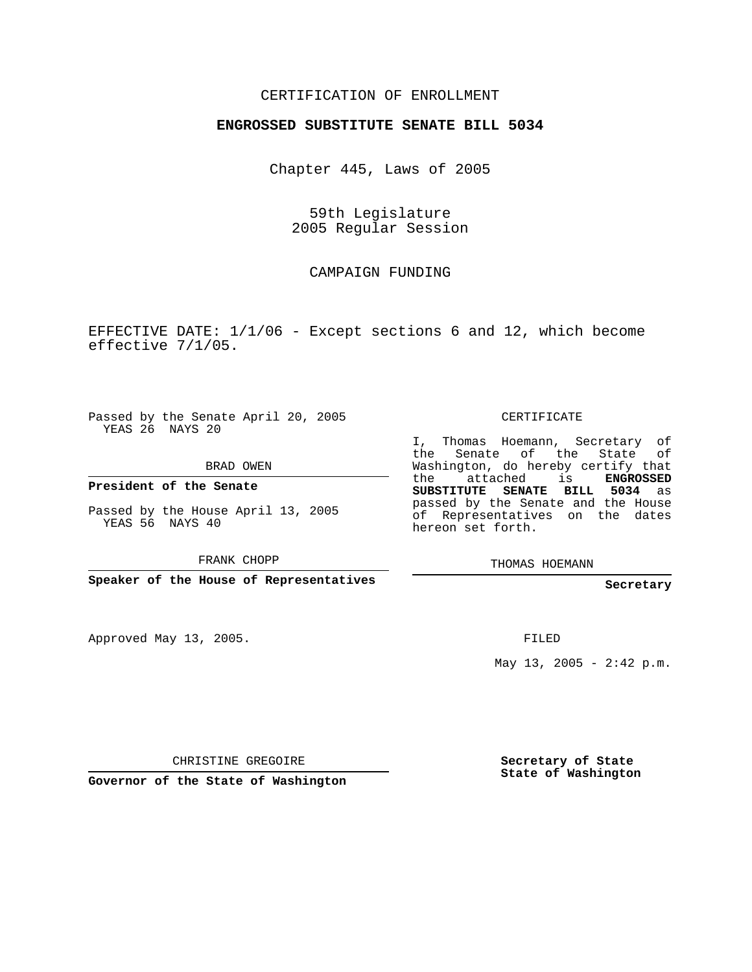### CERTIFICATION OF ENROLLMENT

#### **ENGROSSED SUBSTITUTE SENATE BILL 5034**

Chapter 445, Laws of 2005

59th Legislature 2005 Regular Session

### CAMPAIGN FUNDING

EFFECTIVE DATE: 1/1/06 - Except sections 6 and 12, which become effective 7/1/05.

Passed by the Senate April 20, 2005 YEAS 26 NAYS 20

BRAD OWEN

**President of the Senate**

Passed by the House April 13, 2005 YEAS 56 NAYS 40

FRANK CHOPP

**Speaker of the House of Representatives**

Approved May 13, 2005.

CERTIFICATE

I, Thomas Hoemann, Secretary of the Senate of the State Washington, do hereby certify that the attached is **ENGROSSED SUBSTITUTE SENATE BILL 5034** as passed by the Senate and the House of Representatives on the dates hereon set forth.

THOMAS HOEMANN

#### **Secretary**

FILED

May 13, 2005 -  $2:42 \text{ p.m.}$ 

CHRISTINE GREGOIRE

**Governor of the State of Washington**

**Secretary of State State of Washington**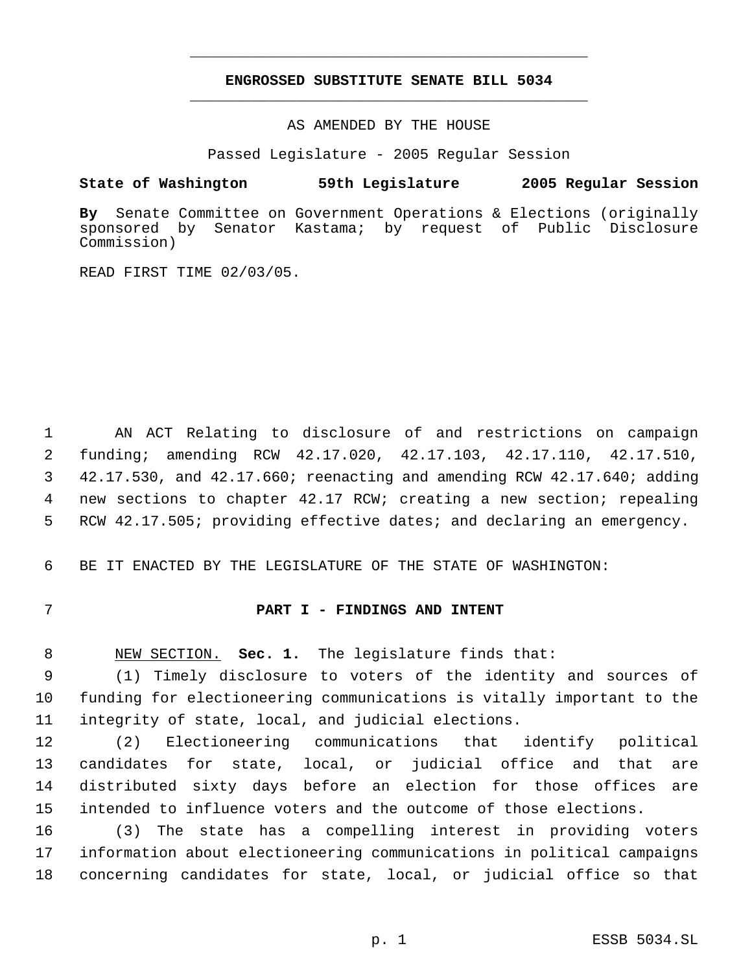## **ENGROSSED SUBSTITUTE SENATE BILL 5034** \_\_\_\_\_\_\_\_\_\_\_\_\_\_\_\_\_\_\_\_\_\_\_\_\_\_\_\_\_\_\_\_\_\_\_\_\_\_\_\_\_\_\_\_\_

\_\_\_\_\_\_\_\_\_\_\_\_\_\_\_\_\_\_\_\_\_\_\_\_\_\_\_\_\_\_\_\_\_\_\_\_\_\_\_\_\_\_\_\_\_

AS AMENDED BY THE HOUSE

Passed Legislature - 2005 Regular Session

### **State of Washington 59th Legislature 2005 Regular Session**

**By** Senate Committee on Government Operations & Elections (originally Senator Kastama; by request of Public Disclosure Commission)

READ FIRST TIME 02/03/05.

 AN ACT Relating to disclosure of and restrictions on campaign funding; amending RCW 42.17.020, 42.17.103, 42.17.110, 42.17.510, 42.17.530, and 42.17.660; reenacting and amending RCW 42.17.640; adding new sections to chapter 42.17 RCW; creating a new section; repealing RCW 42.17.505; providing effective dates; and declaring an emergency.

BE IT ENACTED BY THE LEGISLATURE OF THE STATE OF WASHINGTON:

### **PART I - FINDINGS AND INTENT**

NEW SECTION. **Sec. 1.** The legislature finds that:

 (1) Timely disclosure to voters of the identity and sources of funding for electioneering communications is vitally important to the integrity of state, local, and judicial elections.

 (2) Electioneering communications that identify political candidates for state, local, or judicial office and that are distributed sixty days before an election for those offices are intended to influence voters and the outcome of those elections.

 (3) The state has a compelling interest in providing voters information about electioneering communications in political campaigns concerning candidates for state, local, or judicial office so that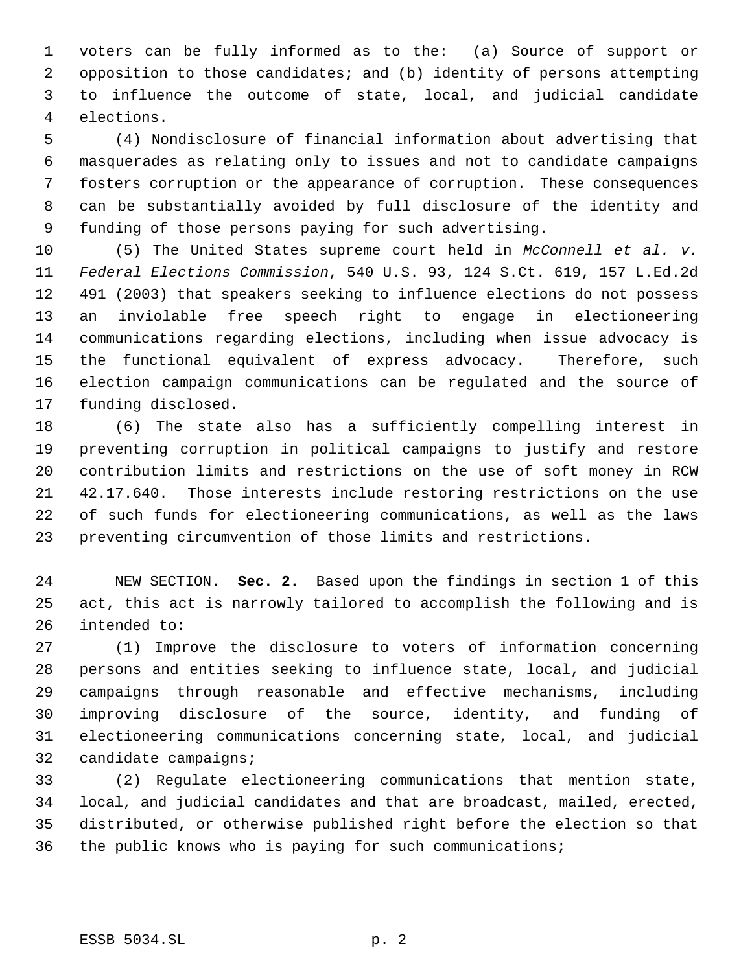voters can be fully informed as to the: (a) Source of support or opposition to those candidates; and (b) identity of persons attempting to influence the outcome of state, local, and judicial candidate elections.

 (4) Nondisclosure of financial information about advertising that masquerades as relating only to issues and not to candidate campaigns fosters corruption or the appearance of corruption. These consequences can be substantially avoided by full disclosure of the identity and funding of those persons paying for such advertising.

 (5) The United States supreme court held in *McConnell et al. v. Federal Elections Commission*, 540 U.S. 93, 124 S.Ct. 619, 157 L.Ed.2d 491 (2003) that speakers seeking to influence elections do not possess an inviolable free speech right to engage in electioneering communications regarding elections, including when issue advocacy is the functional equivalent of express advocacy. Therefore, such election campaign communications can be regulated and the source of funding disclosed.

 (6) The state also has a sufficiently compelling interest in preventing corruption in political campaigns to justify and restore contribution limits and restrictions on the use of soft money in RCW 42.17.640. Those interests include restoring restrictions on the use of such funds for electioneering communications, as well as the laws preventing circumvention of those limits and restrictions.

 NEW SECTION. **Sec. 2.** Based upon the findings in section 1 of this act, this act is narrowly tailored to accomplish the following and is intended to:

 (1) Improve the disclosure to voters of information concerning persons and entities seeking to influence state, local, and judicial campaigns through reasonable and effective mechanisms, including improving disclosure of the source, identity, and funding of electioneering communications concerning state, local, and judicial candidate campaigns;

 (2) Regulate electioneering communications that mention state, local, and judicial candidates and that are broadcast, mailed, erected, distributed, or otherwise published right before the election so that the public knows who is paying for such communications;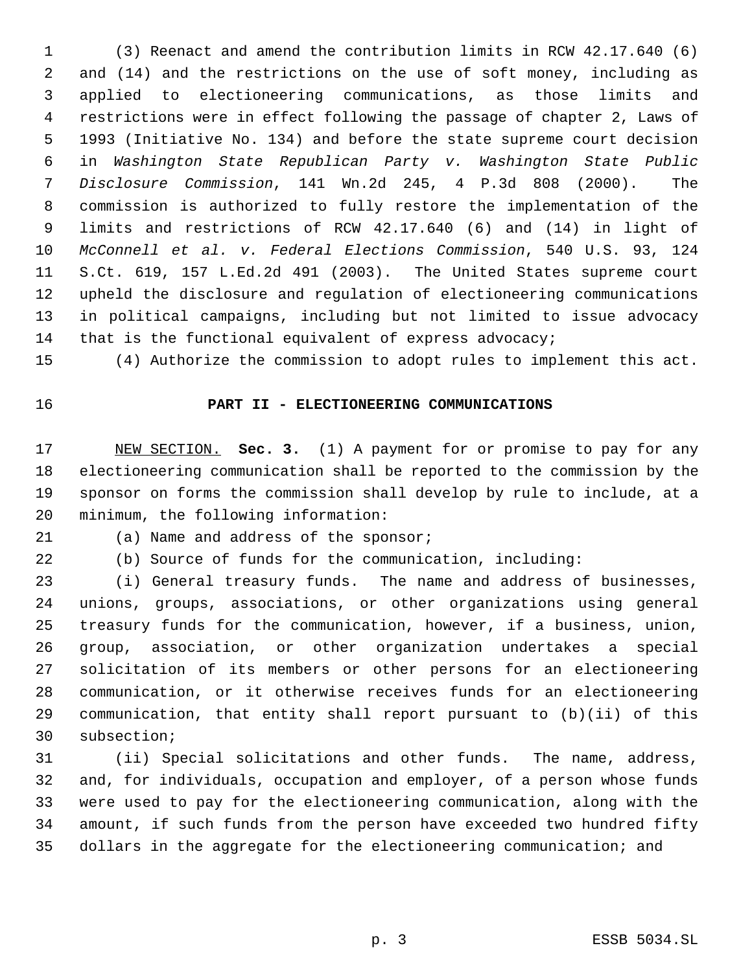(3) Reenact and amend the contribution limits in RCW 42.17.640 (6) and (14) and the restrictions on the use of soft money, including as applied to electioneering communications, as those limits and restrictions were in effect following the passage of chapter 2, Laws of 1993 (Initiative No. 134) and before the state supreme court decision in *Washington State Republican Party v. Washington State Public Disclosure Commission*, 141 Wn.2d 245, 4 P.3d 808 (2000). The commission is authorized to fully restore the implementation of the limits and restrictions of RCW 42.17.640 (6) and (14) in light of *McConnell et al. v. Federal Elections Commission*, 540 U.S. 93, 124 S.Ct. 619, 157 L.Ed.2d 491 (2003). The United States supreme court upheld the disclosure and regulation of electioneering communications in political campaigns, including but not limited to issue advocacy that is the functional equivalent of express advocacy;

#### **PART II - ELECTIONEERING COMMUNICATIONS**

(4) Authorize the commission to adopt rules to implement this act.

 NEW SECTION. **Sec. 3.** (1) A payment for or promise to pay for any electioneering communication shall be reported to the commission by the sponsor on forms the commission shall develop by rule to include, at a minimum, the following information:

(a) Name and address of the sponsor;

(b) Source of funds for the communication, including:

 (i) General treasury funds. The name and address of businesses, unions, groups, associations, or other organizations using general treasury funds for the communication, however, if a business, union, group, association, or other organization undertakes a special solicitation of its members or other persons for an electioneering communication, or it otherwise receives funds for an electioneering communication, that entity shall report pursuant to (b)(ii) of this subsection;

 (ii) Special solicitations and other funds. The name, address, and, for individuals, occupation and employer, of a person whose funds were used to pay for the electioneering communication, along with the amount, if such funds from the person have exceeded two hundred fifty dollars in the aggregate for the electioneering communication; and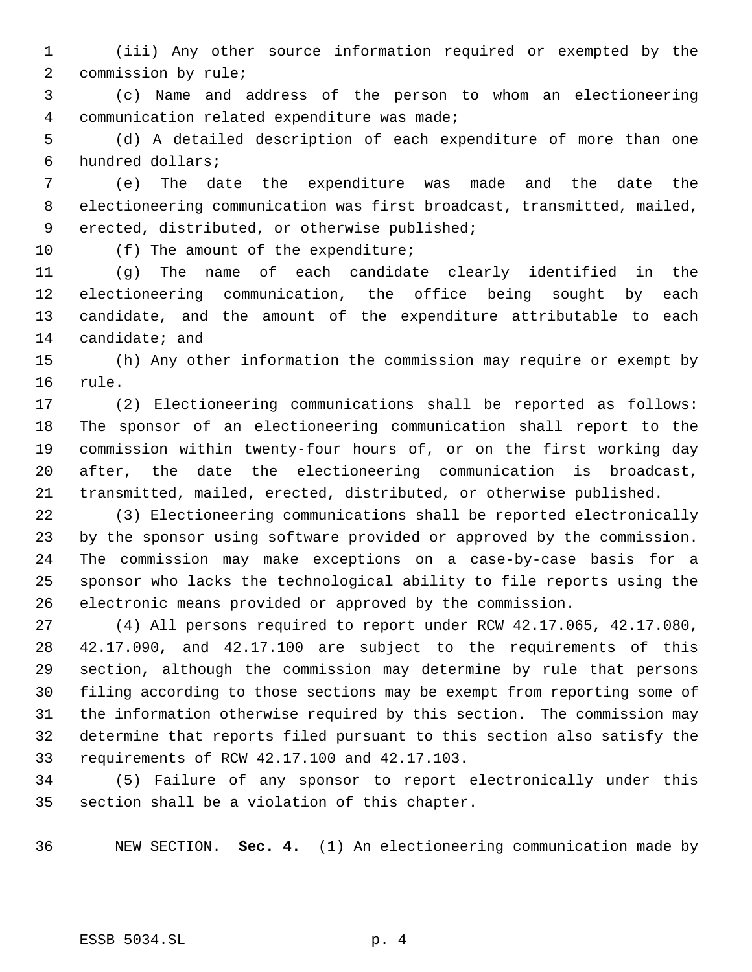(iii) Any other source information required or exempted by the commission by rule;

 (c) Name and address of the person to whom an electioneering communication related expenditure was made;

 (d) A detailed description of each expenditure of more than one hundred dollars;

 (e) The date the expenditure was made and the date the electioneering communication was first broadcast, transmitted, mailed, erected, distributed, or otherwise published;

10 (f) The amount of the expenditure;

 (g) The name of each candidate clearly identified in the electioneering communication, the office being sought by each candidate, and the amount of the expenditure attributable to each candidate; and

 (h) Any other information the commission may require or exempt by rule.

 (2) Electioneering communications shall be reported as follows: The sponsor of an electioneering communication shall report to the commission within twenty-four hours of, or on the first working day after, the date the electioneering communication is broadcast, transmitted, mailed, erected, distributed, or otherwise published.

 (3) Electioneering communications shall be reported electronically by the sponsor using software provided or approved by the commission. The commission may make exceptions on a case-by-case basis for a sponsor who lacks the technological ability to file reports using the electronic means provided or approved by the commission.

 (4) All persons required to report under RCW 42.17.065, 42.17.080, 42.17.090, and 42.17.100 are subject to the requirements of this section, although the commission may determine by rule that persons filing according to those sections may be exempt from reporting some of the information otherwise required by this section. The commission may determine that reports filed pursuant to this section also satisfy the requirements of RCW 42.17.100 and 42.17.103.

 (5) Failure of any sponsor to report electronically under this section shall be a violation of this chapter.

NEW SECTION. **Sec. 4.** (1) An electioneering communication made by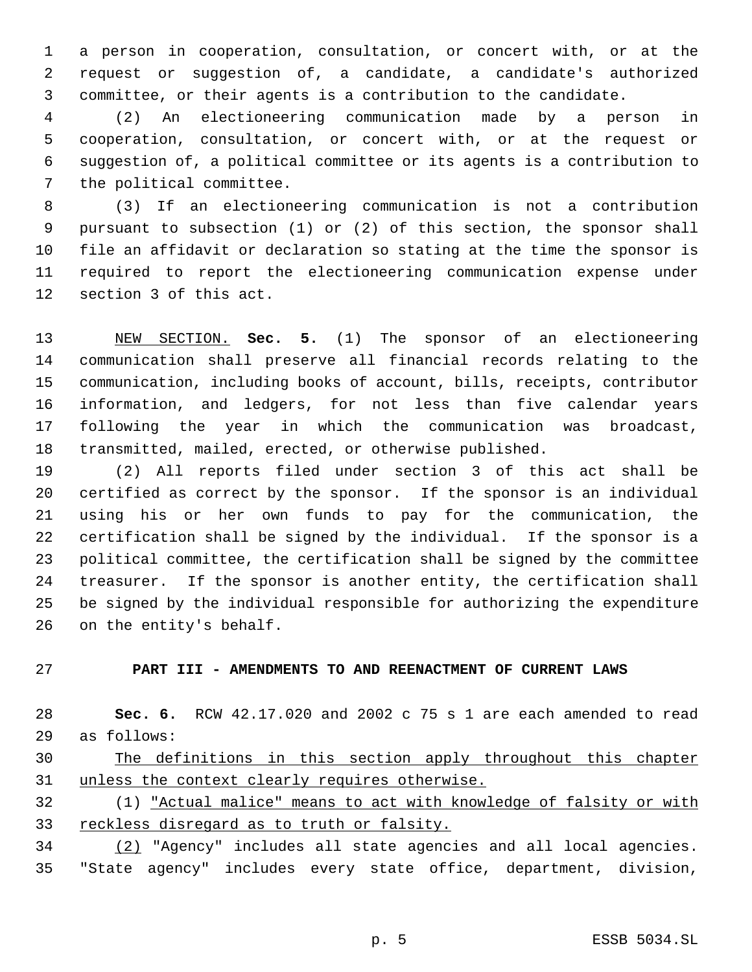a person in cooperation, consultation, or concert with, or at the request or suggestion of, a candidate, a candidate's authorized committee, or their agents is a contribution to the candidate.

 (2) An electioneering communication made by a person in cooperation, consultation, or concert with, or at the request or suggestion of, a political committee or its agents is a contribution to the political committee.

 (3) If an electioneering communication is not a contribution pursuant to subsection (1) or (2) of this section, the sponsor shall file an affidavit or declaration so stating at the time the sponsor is required to report the electioneering communication expense under section 3 of this act.

 NEW SECTION. **Sec. 5.** (1) The sponsor of an electioneering communication shall preserve all financial records relating to the communication, including books of account, bills, receipts, contributor information, and ledgers, for not less than five calendar years following the year in which the communication was broadcast, transmitted, mailed, erected, or otherwise published.

 (2) All reports filed under section 3 of this act shall be certified as correct by the sponsor. If the sponsor is an individual using his or her own funds to pay for the communication, the certification shall be signed by the individual. If the sponsor is a political committee, the certification shall be signed by the committee treasurer. If the sponsor is another entity, the certification shall be signed by the individual responsible for authorizing the expenditure on the entity's behalf.

# **PART III - AMENDMENTS TO AND REENACTMENT OF CURRENT LAWS**

 **Sec. 6.** RCW 42.17.020 and 2002 c 75 s 1 are each amended to read as follows:

 The definitions in this section apply throughout this chapter unless the context clearly requires otherwise.

 (1) "Actual malice" means to act with knowledge of falsity or with reckless disregard as to truth or falsity.

 (2) "Agency" includes all state agencies and all local agencies. "State agency" includes every state office, department, division,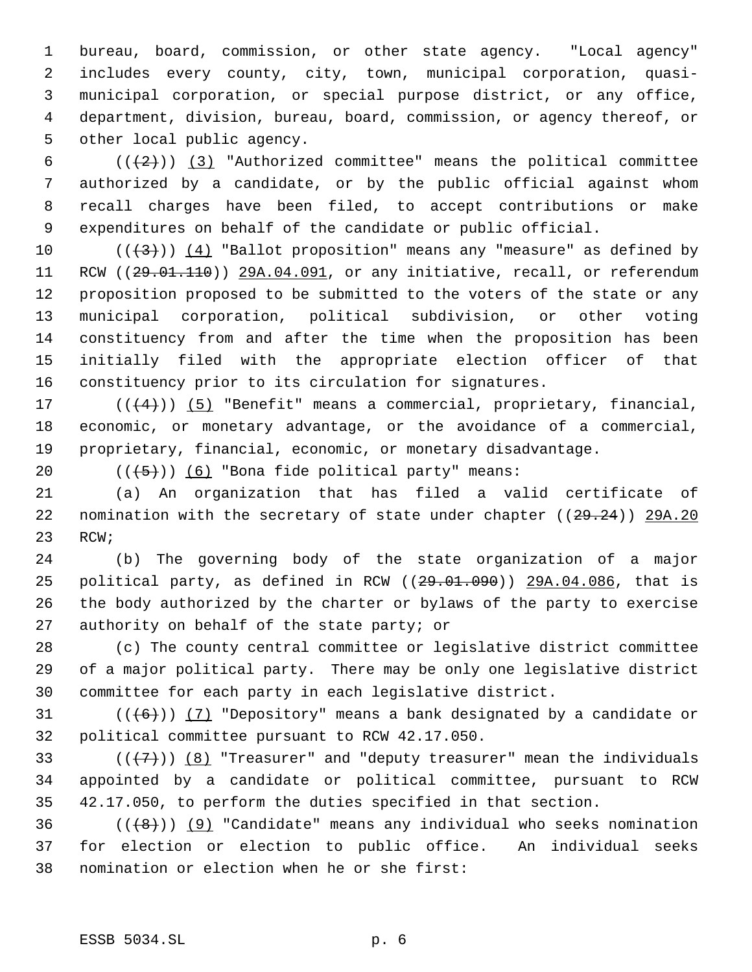bureau, board, commission, or other state agency. "Local agency" includes every county, city, town, municipal corporation, quasi- municipal corporation, or special purpose district, or any office, department, division, bureau, board, commission, or agency thereof, or other local public agency.

 $((+2))$   $(3)$  "Authorized committee" means the political committee authorized by a candidate, or by the public official against whom recall charges have been filed, to accept contributions or make expenditures on behalf of the candidate or public official.

10 ( $(\frac{4}{3})$ ) (4) "Ballot proposition" means any "measure" as defined by 11 RCW ((29.01.110)) 29A.04.091, or any initiative, recall, or referendum proposition proposed to be submitted to the voters of the state or any municipal corporation, political subdivision, or other voting constituency from and after the time when the proposition has been initially filed with the appropriate election officer of that constituency prior to its circulation for signatures.

17  $((+4))$   $(5)$  "Benefit" means a commercial, proprietary, financial, economic, or monetary advantage, or the avoidance of a commercial, proprietary, financial, economic, or monetary disadvantage.

20  $((+5))$   $(6)$  "Bona fide political party" means:

 (a) An organization that has filed a valid certificate of 22 nomination with the secretary of state under chapter ((29.24)) 29A.20 RCW;

 (b) The governing body of the state organization of a major 25 political party, as defined in RCW ((29.01.090)) 29A.04.086, that is the body authorized by the charter or bylaws of the party to exercise authority on behalf of the state party; or

 (c) The county central committee or legislative district committee of a major political party. There may be only one legislative district committee for each party in each legislative district.

31 ( $(\langle 6 \rangle)$ ) (7) "Depository" means a bank designated by a candidate or political committee pursuant to RCW 42.17.050.

33 ( $(\overline{+7})$ ) (8) "Treasurer" and "deputy treasurer" mean the individuals appointed by a candidate or political committee, pursuant to RCW 42.17.050, to perform the duties specified in that section.

36  $((\{8\})$  (9) "Candidate" means any individual who seeks nomination for election or election to public office. An individual seeks nomination or election when he or she first: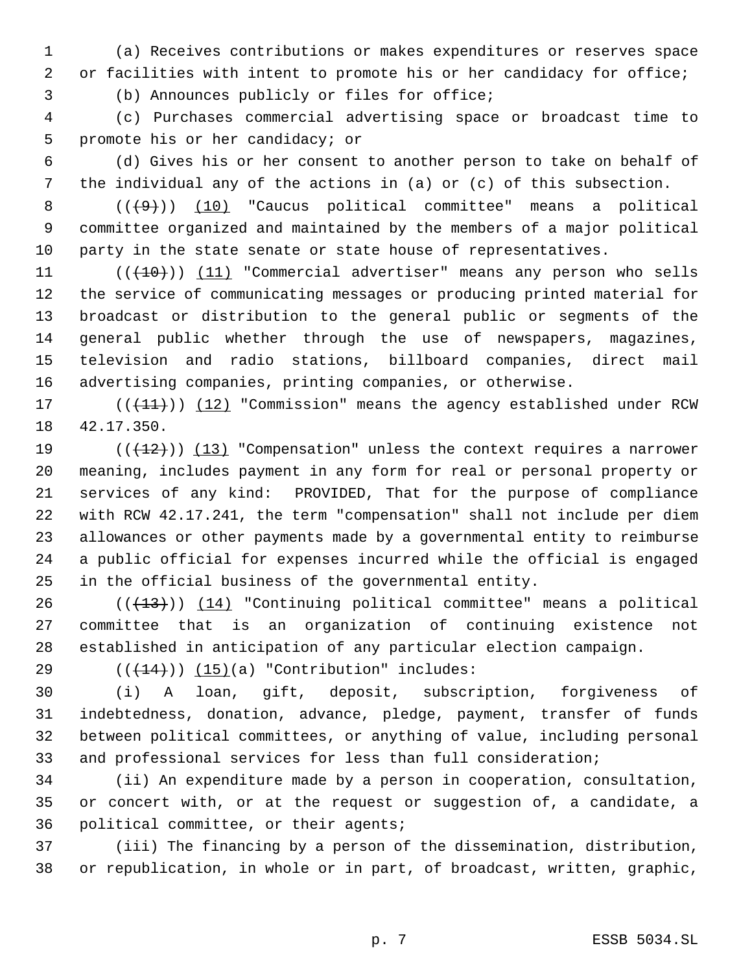(a) Receives contributions or makes expenditures or reserves space 2 or facilities with intent to promote his or her candidacy for office;

(b) Announces publicly or files for office;

 (c) Purchases commercial advertising space or broadcast time to promote his or her candidacy; or

 (d) Gives his or her consent to another person to take on behalf of the individual any of the actions in (a) or (c) of this subsection.

8  $((+9))$   $(10)$  "Caucus political committee" means a political committee organized and maintained by the members of a major political party in the state senate or state house of representatives.

11 (((10))) (11) "Commercial advertiser" means any person who sells the service of communicating messages or producing printed material for broadcast or distribution to the general public or segments of the general public whether through the use of newspapers, magazines, television and radio stations, billboard companies, direct mail advertising companies, printing companies, or otherwise.

17 (((11))) (12) "Commission" means the agency established under RCW 42.17.350.

 $((+12))$   $(13)$  "Compensation" unless the context requires a narrower meaning, includes payment in any form for real or personal property or services of any kind: PROVIDED, That for the purpose of compliance with RCW 42.17.241, the term "compensation" shall not include per diem allowances or other payments made by a governmental entity to reimburse a public official for expenses incurred while the official is engaged in the official business of the governmental entity.

 (( $(13)$ ))  $(14)$  "Continuing political committee" means a political committee that is an organization of continuing existence not established in anticipation of any particular election campaign.

29  $((+14))$   $(15)(a)$  "Contribution" includes:

 (i) A loan, gift, deposit, subscription, forgiveness of indebtedness, donation, advance, pledge, payment, transfer of funds between political committees, or anything of value, including personal and professional services for less than full consideration;

 (ii) An expenditure made by a person in cooperation, consultation, or concert with, or at the request or suggestion of, a candidate, a political committee, or their agents;

 (iii) The financing by a person of the dissemination, distribution, or republication, in whole or in part, of broadcast, written, graphic,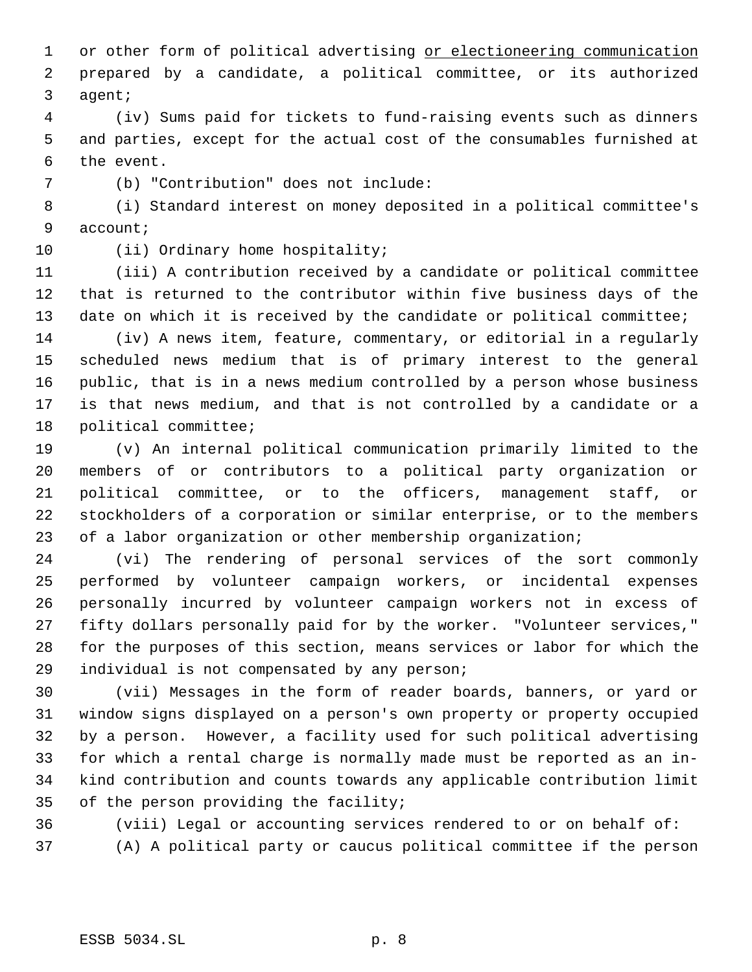1 or other form of political advertising or electioneering communication prepared by a candidate, a political committee, or its authorized agent;

 (iv) Sums paid for tickets to fund-raising events such as dinners and parties, except for the actual cost of the consumables furnished at the event.

(b) "Contribution" does not include:

 (i) Standard interest on money deposited in a political committee's account;

10 (ii) Ordinary home hospitality;

 (iii) A contribution received by a candidate or political committee that is returned to the contributor within five business days of the 13 date on which it is received by the candidate or political committee;

 (iv) A news item, feature, commentary, or editorial in a regularly scheduled news medium that is of primary interest to the general public, that is in a news medium controlled by a person whose business is that news medium, and that is not controlled by a candidate or a political committee;

 (v) An internal political communication primarily limited to the members of or contributors to a political party organization or political committee, or to the officers, management staff, or stockholders of a corporation or similar enterprise, or to the members of a labor organization or other membership organization;

 (vi) The rendering of personal services of the sort commonly performed by volunteer campaign workers, or incidental expenses personally incurred by volunteer campaign workers not in excess of fifty dollars personally paid for by the worker. "Volunteer services," for the purposes of this section, means services or labor for which the individual is not compensated by any person;

 (vii) Messages in the form of reader boards, banners, or yard or window signs displayed on a person's own property or property occupied by a person. However, a facility used for such political advertising for which a rental charge is normally made must be reported as an in- kind contribution and counts towards any applicable contribution limit of the person providing the facility;

(viii) Legal or accounting services rendered to or on behalf of:

(A) A political party or caucus political committee if the person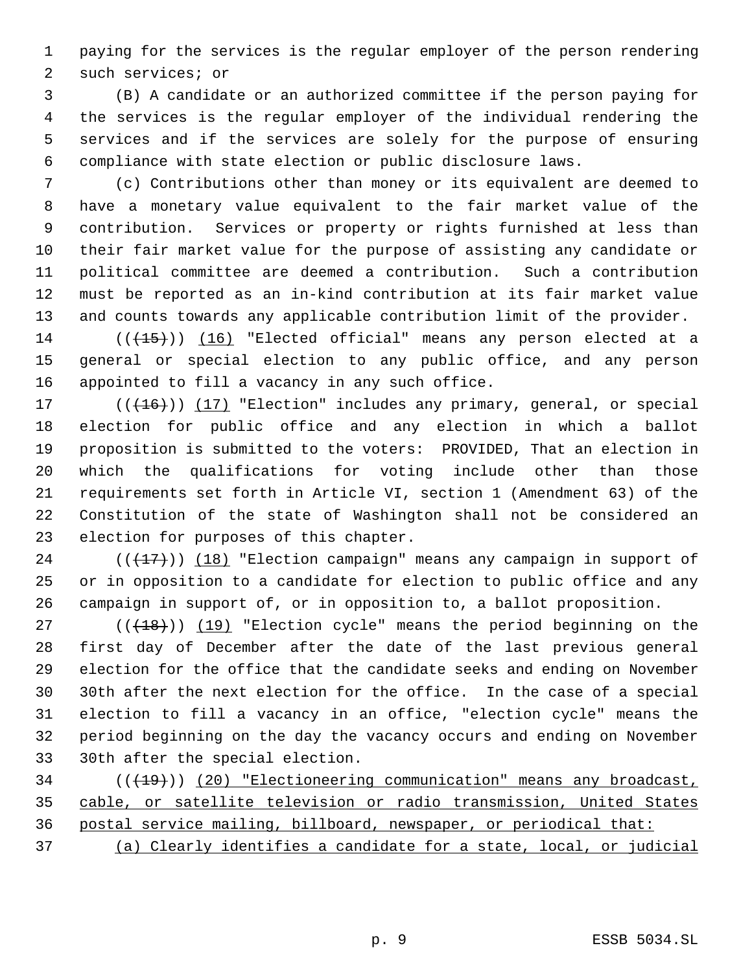paying for the services is the regular employer of the person rendering such services; or

 (B) A candidate or an authorized committee if the person paying for the services is the regular employer of the individual rendering the services and if the services are solely for the purpose of ensuring compliance with state election or public disclosure laws.

 (c) Contributions other than money or its equivalent are deemed to have a monetary value equivalent to the fair market value of the contribution. Services or property or rights furnished at less than their fair market value for the purpose of assisting any candidate or political committee are deemed a contribution. Such a contribution must be reported as an in-kind contribution at its fair market value and counts towards any applicable contribution limit of the provider.

14 (((15))) (16) "Elected official" means any person elected at a general or special election to any public office, and any person appointed to fill a vacancy in any such office.

17 (((+16))) (17) "Election" includes any primary, general, or special election for public office and any election in which a ballot proposition is submitted to the voters: PROVIDED, That an election in which the qualifications for voting include other than those requirements set forth in Article VI, section 1 (Amendment 63) of the Constitution of the state of Washington shall not be considered an election for purposes of this chapter.

 ( $(\frac{17}{17})$ )  $(18)$  "Election campaign" means any campaign in support of or in opposition to a candidate for election to public office and any campaign in support of, or in opposition to, a ballot proposition.

 ( $(\overline{+18})$ )  $(19)$  "Election cycle" means the period beginning on the first day of December after the date of the last previous general election for the office that the candidate seeks and ending on November 30th after the next election for the office. In the case of a special election to fill a vacancy in an office, "election cycle" means the period beginning on the day the vacancy occurs and ending on November 30th after the special election.

34 (( $(19)$ ) (20) "Electioneering communication" means any broadcast, cable, or satellite television or radio transmission, United States postal service mailing, billboard, newspaper, or periodical that:

(a) Clearly identifies a candidate for a state, local, or judicial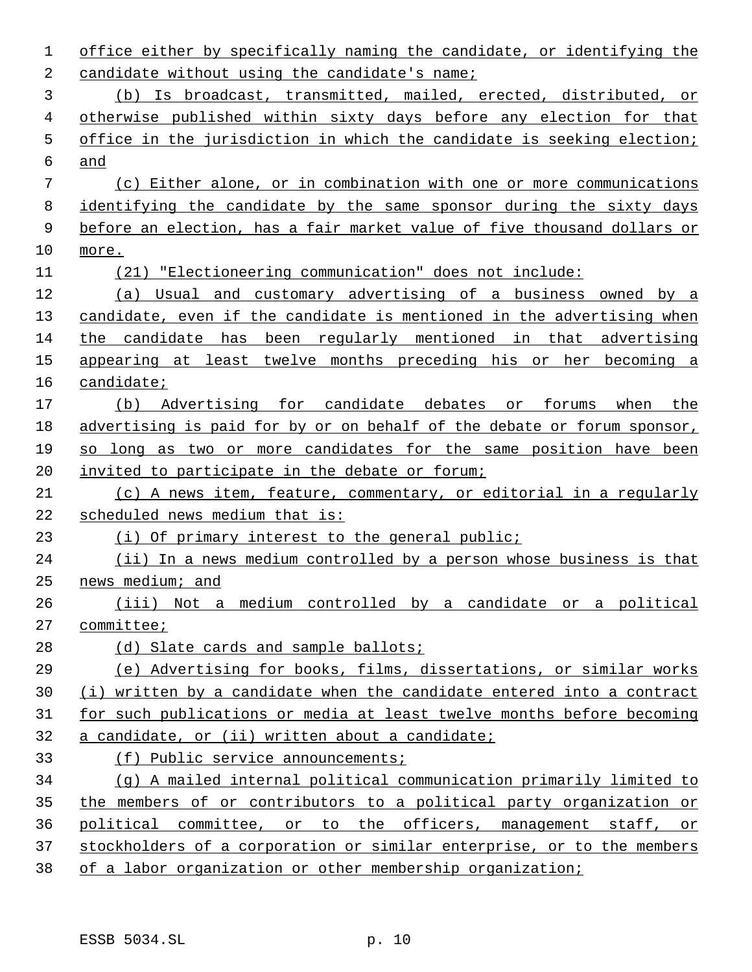office either by specifically naming the candidate, or identifying the 2 candidate without using the candidate's name; (b) Is broadcast, transmitted, mailed, erected, distributed, or otherwise published within sixty days before any election for that office in the jurisdiction in which the candidate is seeking election; and (c) Either alone, or in combination with one or more communications identifying the candidate by the same sponsor during the sixty days before an election, has a fair market value of five thousand dollars or more. (21) "Electioneering communication" does not include: (a) Usual and customary advertising of a business owned by a 13 candidate, even if the candidate is mentioned in the advertising when the candidate has been regularly mentioned in that advertising appearing at least twelve months preceding his or her becoming a candidate; (b) Advertising for candidate debates or forums when the advertising is paid for by or on behalf of the debate or forum sponsor, so long as two or more candidates for the same position have been invited to participate in the debate or forum; (c) A news item, feature, commentary, or editorial in a regularly scheduled news medium that is: (i) Of primary interest to the general public; (ii) In a news medium controlled by a person whose business is that news medium; and (iii) Not a medium controlled by a candidate or a political committee; 28 (d) Slate cards and sample ballots; (e) Advertising for books, films, dissertations, or similar works (i) written by a candidate when the candidate entered into a contract for such publications or media at least twelve months before becoming a candidate, or (ii) written about a candidate; (f) Public service announcements; (g) A mailed internal political communication primarily limited to the members of or contributors to a political party organization or political committee, or to the officers, management staff, or stockholders of a corporation or similar enterprise, or to the members of a labor organization or other membership organization;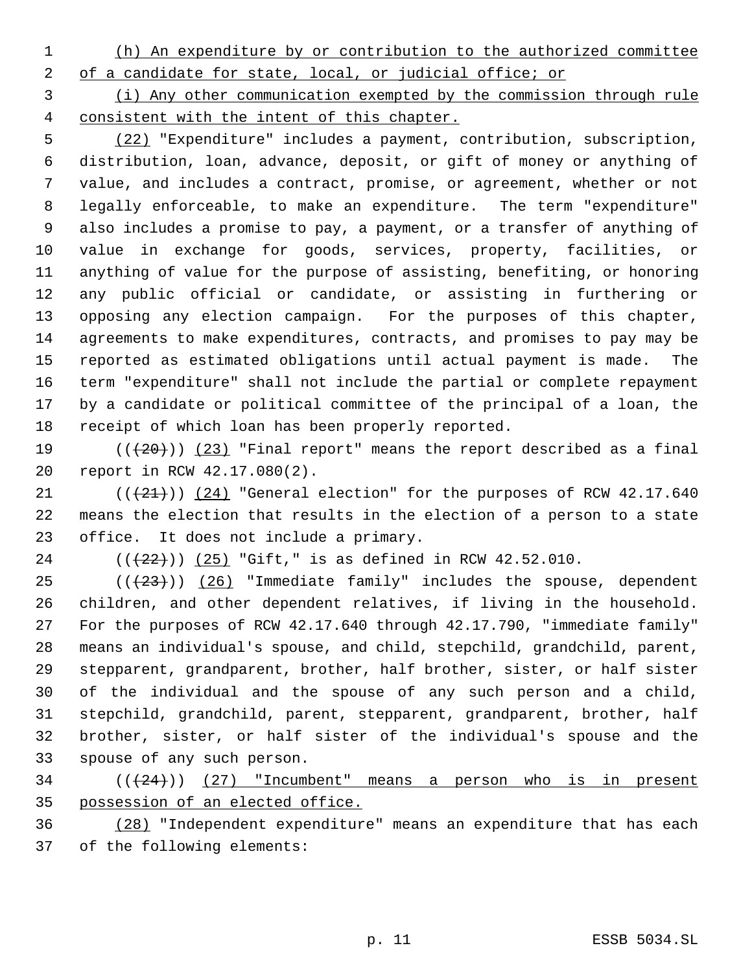(h) An expenditure by or contribution to the authorized committee

2 of a candidate for state, local, or judicial office; or

 (i) Any other communication exempted by the commission through rule consistent with the intent of this chapter.

 (22) "Expenditure" includes a payment, contribution, subscription, distribution, loan, advance, deposit, or gift of money or anything of value, and includes a contract, promise, or agreement, whether or not legally enforceable, to make an expenditure. The term "expenditure" also includes a promise to pay, a payment, or a transfer of anything of value in exchange for goods, services, property, facilities, or anything of value for the purpose of assisting, benefiting, or honoring any public official or candidate, or assisting in furthering or opposing any election campaign. For the purposes of this chapter, agreements to make expenditures, contracts, and promises to pay may be reported as estimated obligations until actual payment is made. The term "expenditure" shall not include the partial or complete repayment by a candidate or political committee of the principal of a loan, the receipt of which loan has been properly reported.

19 ( $(\langle 20 \rangle)$  (23) "Final report" means the report described as a final report in RCW 42.17.080(2).

 $((+21))$  (24) "General election" for the purposes of RCW 42.17.640 means the election that results in the election of a person to a state office. It does not include a primary.

24 (( $(22)$ )) (25) "Gift," is as defined in RCW 42.52.010.

 $((+23))$  (26) "Immediate family" includes the spouse, dependent children, and other dependent relatives, if living in the household. For the purposes of RCW 42.17.640 through 42.17.790, "immediate family" means an individual's spouse, and child, stepchild, grandchild, parent, stepparent, grandparent, brother, half brother, sister, or half sister of the individual and the spouse of any such person and a child, stepchild, grandchild, parent, stepparent, grandparent, brother, half brother, sister, or half sister of the individual's spouse and the spouse of any such person.

 ( $(\langle 24 \rangle)$ ) (27) "Incumbent" means a person who is in present possession of an elected office.

 (28) "Independent expenditure" means an expenditure that has each of the following elements: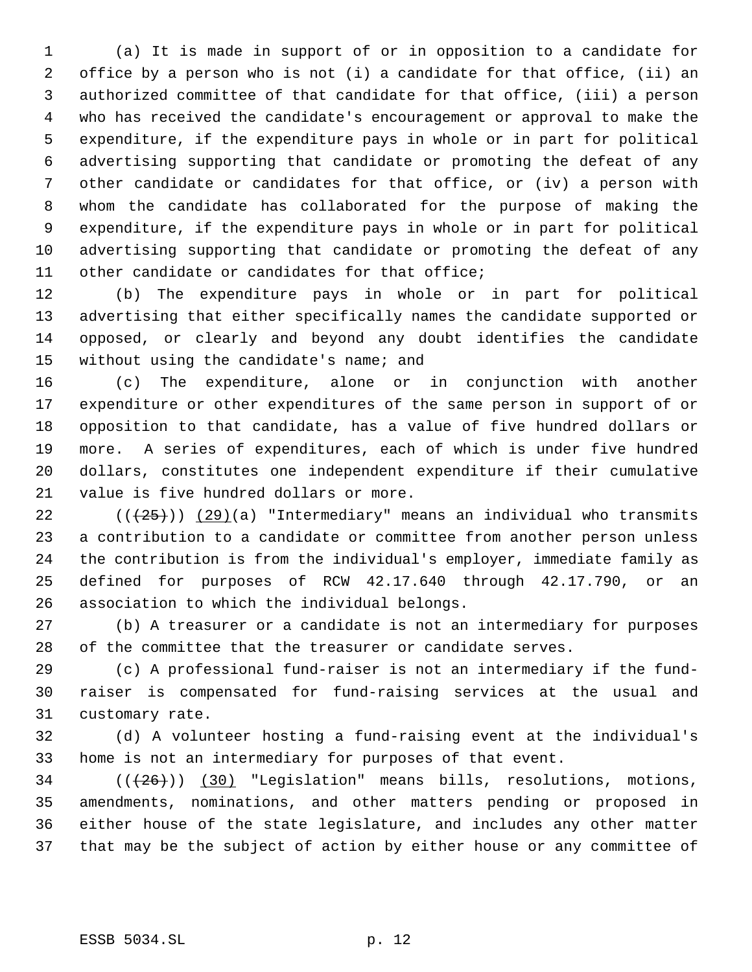(a) It is made in support of or in opposition to a candidate for office by a person who is not (i) a candidate for that office, (ii) an authorized committee of that candidate for that office, (iii) a person who has received the candidate's encouragement or approval to make the expenditure, if the expenditure pays in whole or in part for political advertising supporting that candidate or promoting the defeat of any other candidate or candidates for that office, or (iv) a person with whom the candidate has collaborated for the purpose of making the expenditure, if the expenditure pays in whole or in part for political advertising supporting that candidate or promoting the defeat of any other candidate or candidates for that office;

 (b) The expenditure pays in whole or in part for political advertising that either specifically names the candidate supported or opposed, or clearly and beyond any doubt identifies the candidate 15 without using the candidate's name; and

 (c) The expenditure, alone or in conjunction with another expenditure or other expenditures of the same person in support of or opposition to that candidate, has a value of five hundred dollars or more. A series of expenditures, each of which is under five hundred dollars, constitutes one independent expenditure if their cumulative value is five hundred dollars or more.

 $((+25))$  (29)(a) "Intermediary" means an individual who transmits a contribution to a candidate or committee from another person unless the contribution is from the individual's employer, immediate family as defined for purposes of RCW 42.17.640 through 42.17.790, or an association to which the individual belongs.

 (b) A treasurer or a candidate is not an intermediary for purposes of the committee that the treasurer or candidate serves.

 (c) A professional fund-raiser is not an intermediary if the fund- raiser is compensated for fund-raising services at the usual and customary rate.

 (d) A volunteer hosting a fund-raising event at the individual's home is not an intermediary for purposes of that event.

 $((+26))$   $(30)$  "Legislation" means bills, resolutions, motions, amendments, nominations, and other matters pending or proposed in either house of the state legislature, and includes any other matter that may be the subject of action by either house or any committee of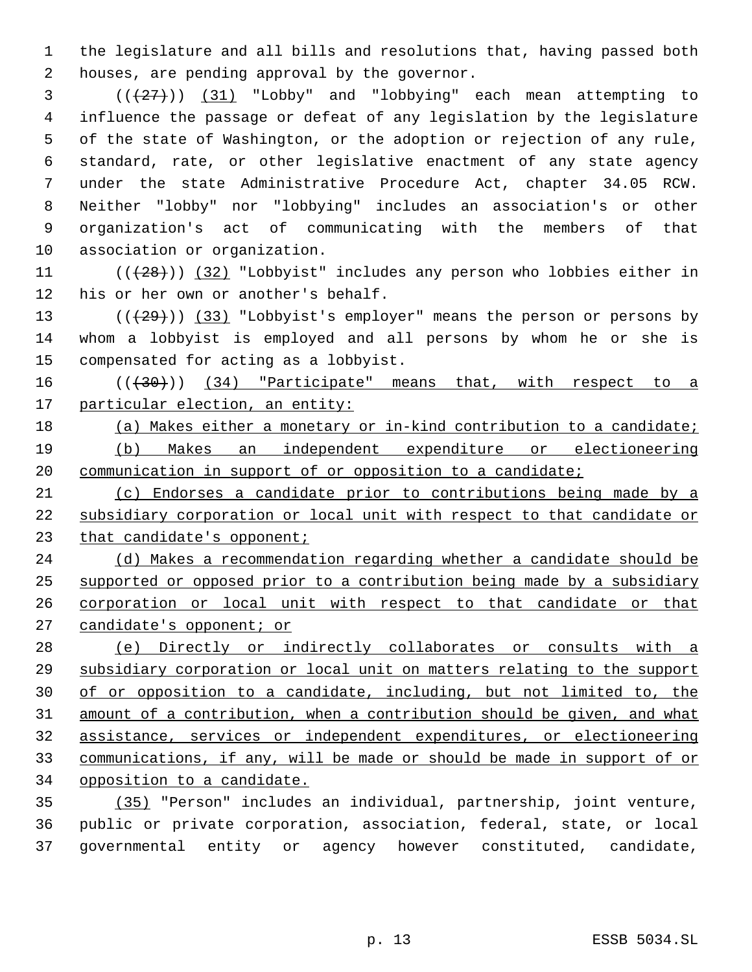the legislature and all bills and resolutions that, having passed both houses, are pending approval by the governor.

 (((27))) (31) "Lobby" and "lobbying" each mean attempting to influence the passage or defeat of any legislation by the legislature of the state of Washington, or the adoption or rejection of any rule, standard, rate, or other legislative enactment of any state agency under the state Administrative Procedure Act, chapter 34.05 RCW. Neither "lobby" nor "lobbying" includes an association's or other organization's act of communicating with the members of that association or organization.

11  $((+28))$   $(32)$  "Lobbyist" includes any person who lobbies either in his or her own or another's behalf.

13  $((+29))$   $(33)$  "Lobbyist's employer" means the person or persons by whom a lobbyist is employed and all persons by whom he or she is compensated for acting as a lobbyist.

16  $((+30))$   $(34)$  "Participate" means that, with respect to a 17 particular election, an entity:

 (a) Makes either a monetary or in-kind contribution to a candidate; (b) Makes an independent expenditure or electioneering 20 communication in support of or opposition to a candidate;

 (c) Endorses a candidate prior to contributions being made by a subsidiary corporation or local unit with respect to that candidate or 23 that candidate's opponent;

24 (d) Makes a recommendation regarding whether a candidate should be supported or opposed prior to a contribution being made by a subsidiary corporation or local unit with respect to that candidate or that 27 candidate's opponent; or

 (e) Directly or indirectly collaborates or consults with a subsidiary corporation or local unit on matters relating to the support of or opposition to a candidate, including, but not limited to, the amount of a contribution, when a contribution should be given, and what assistance, services or independent expenditures, or electioneering communications, if any, will be made or should be made in support of or opposition to a candidate.

 (35) "Person" includes an individual, partnership, joint venture, public or private corporation, association, federal, state, or local governmental entity or agency however constituted, candidate,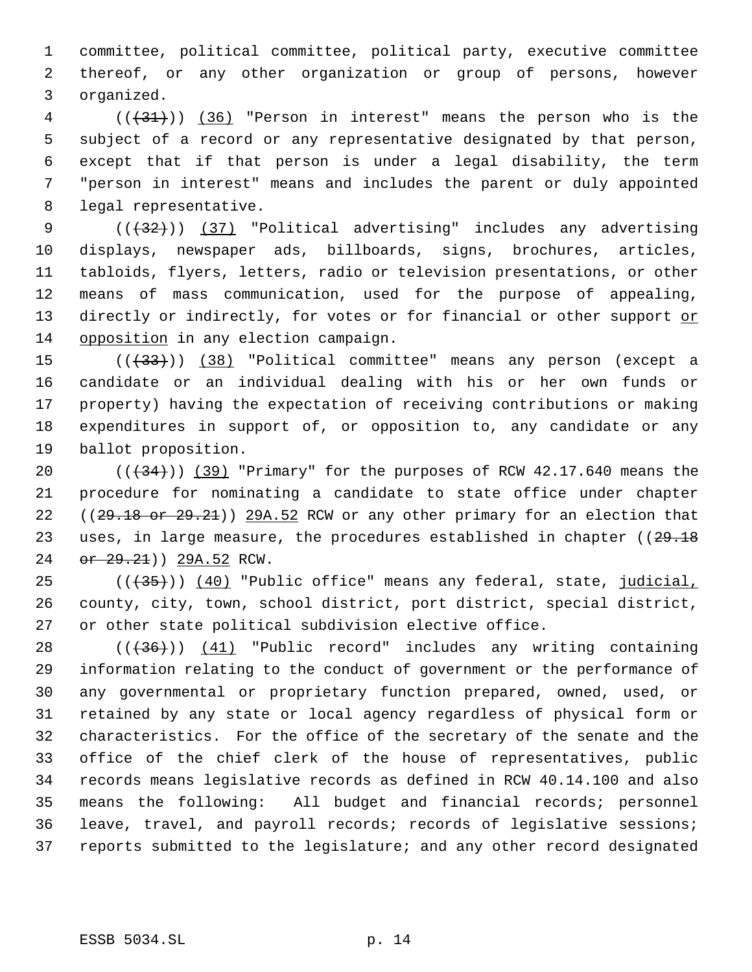committee, political committee, political party, executive committee thereof, or any other organization or group of persons, however organized.

 (((31))) (36) "Person in interest" means the person who is the subject of a record or any representative designated by that person, except that if that person is under a legal disability, the term "person in interest" means and includes the parent or duly appointed legal representative.

9 (( $(32)$ )) (37) "Political advertising" includes any advertising displays, newspaper ads, billboards, signs, brochures, articles, tabloids, flyers, letters, radio or television presentations, or other means of mass communication, used for the purpose of appealing, 13 directly or indirectly, for votes or for financial or other support or opposition in any election campaign.

15 (( $\left(\frac{33}{10}\right)$ ) (38) "Political committee" means any person (except a candidate or an individual dealing with his or her own funds or property) having the expectation of receiving contributions or making expenditures in support of, or opposition to, any candidate or any ballot proposition.

 $((+34))$   $(39)$  "Primary" for the purposes of RCW 42.17.640 means the procedure for nominating a candidate to state office under chapter 22 ((29.18 or 29.21)) 29A.52 RCW or any other primary for an election that 23 uses, in large measure, the procedures established in chapter ((29.18) 24 or 29.21) 29A.52 RCW.

25 (((35))) (40) "Public office" means any federal, state, judicial, county, city, town, school district, port district, special district, or other state political subdivision elective office.

28 (( $(36)$ )) (41) "Public record" includes any writing containing information relating to the conduct of government or the performance of any governmental or proprietary function prepared, owned, used, or retained by any state or local agency regardless of physical form or characteristics. For the office of the secretary of the senate and the office of the chief clerk of the house of representatives, public records means legislative records as defined in RCW 40.14.100 and also means the following: All budget and financial records; personnel leave, travel, and payroll records; records of legislative sessions; reports submitted to the legislature; and any other record designated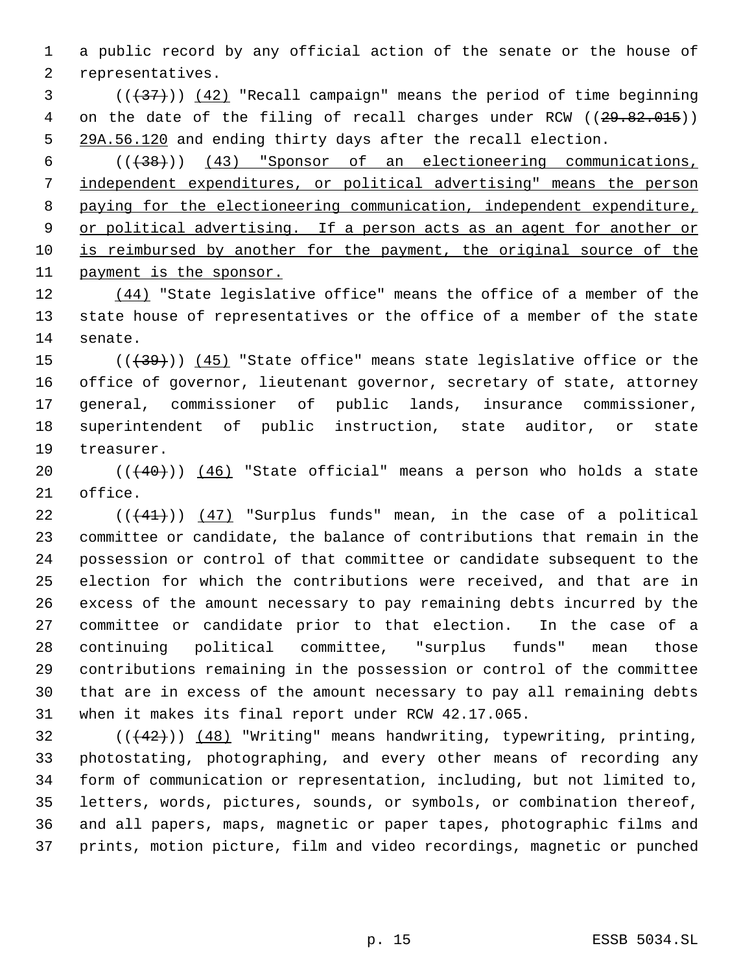a public record by any official action of the senate or the house of representatives.

 $(1,37)$  (( $(42)$  "Recall campaign" means the period of time beginning 4 on the date of the filing of recall charges under RCW ((29.82.015)) 5 29A.56.120 and ending thirty days after the recall election.

 (((38))) (43) "Sponsor of an electioneering communications, independent expenditures, or political advertising" means the person paying for the electioneering communication, independent expenditure, 9 or political advertising. If a person acts as an agent for another or 10 is reimbursed by another for the payment, the original source of the payment is the sponsor.

12 (44) "State legislative office" means the office of a member of the state house of representatives or the office of a member of the state senate.

 $((+39))$   $(45)$  "State office" means state legislative office or the office of governor, lieutenant governor, secretary of state, attorney general, commissioner of public lands, insurance commissioner, superintendent of public instruction, state auditor, or state treasurer.

 $((40))$   $(46)$  "State official" means a person who holds a state office.

 $((41))$   $(47)$  "Surplus funds" mean, in the case of a political committee or candidate, the balance of contributions that remain in the possession or control of that committee or candidate subsequent to the election for which the contributions were received, and that are in excess of the amount necessary to pay remaining debts incurred by the committee or candidate prior to that election. In the case of a continuing political committee, "surplus funds" mean those contributions remaining in the possession or control of the committee that are in excess of the amount necessary to pay all remaining debts when it makes its final report under RCW 42.17.065.

 $((+42))$   $(48)$  "Writing" means handwriting, typewriting, printing, photostating, photographing, and every other means of recording any form of communication or representation, including, but not limited to, letters, words, pictures, sounds, or symbols, or combination thereof, and all papers, maps, magnetic or paper tapes, photographic films and prints, motion picture, film and video recordings, magnetic or punched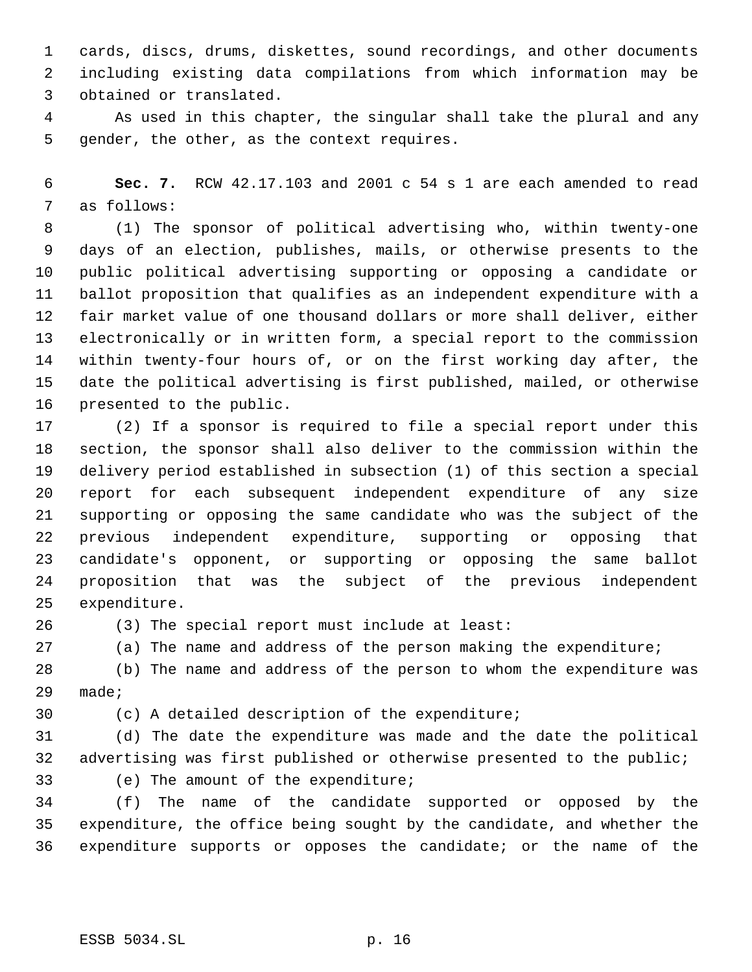cards, discs, drums, diskettes, sound recordings, and other documents including existing data compilations from which information may be obtained or translated.

 As used in this chapter, the singular shall take the plural and any gender, the other, as the context requires.

 **Sec. 7.** RCW 42.17.103 and 2001 c 54 s 1 are each amended to read as follows:

 (1) The sponsor of political advertising who, within twenty-one days of an election, publishes, mails, or otherwise presents to the public political advertising supporting or opposing a candidate or ballot proposition that qualifies as an independent expenditure with a fair market value of one thousand dollars or more shall deliver, either electronically or in written form, a special report to the commission within twenty-four hours of, or on the first working day after, the date the political advertising is first published, mailed, or otherwise presented to the public.

 (2) If a sponsor is required to file a special report under this section, the sponsor shall also deliver to the commission within the delivery period established in subsection (1) of this section a special report for each subsequent independent expenditure of any size supporting or opposing the same candidate who was the subject of the previous independent expenditure, supporting or opposing that candidate's opponent, or supporting or opposing the same ballot proposition that was the subject of the previous independent expenditure.

(3) The special report must include at least:

(a) The name and address of the person making the expenditure;

 (b) The name and address of the person to whom the expenditure was made;

(c) A detailed description of the expenditure;

 (d) The date the expenditure was made and the date the political advertising was first published or otherwise presented to the public; (e) The amount of the expenditure;

 (f) The name of the candidate supported or opposed by the expenditure, the office being sought by the candidate, and whether the expenditure supports or opposes the candidate; or the name of the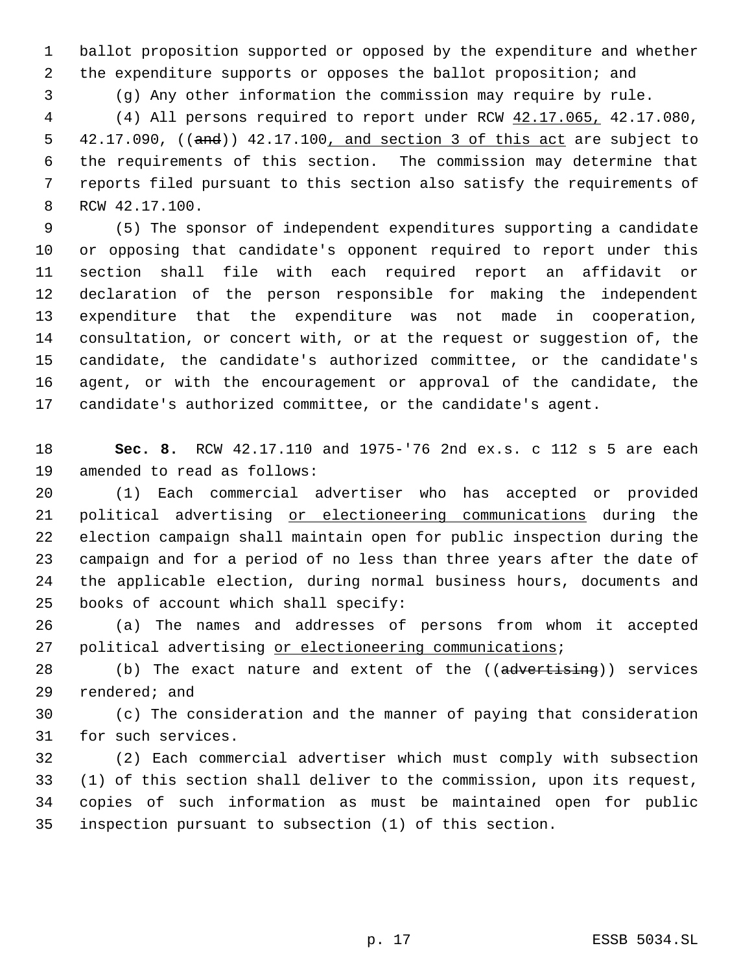ballot proposition supported or opposed by the expenditure and whether the expenditure supports or opposes the ballot proposition; and

(g) Any other information the commission may require by rule.

 (4) All persons required to report under RCW 42.17.065, 42.17.080, 5 42.17.090, ((and)) 42.17.100, and section 3 of this act are subject to the requirements of this section. The commission may determine that reports filed pursuant to this section also satisfy the requirements of RCW 42.17.100.

 (5) The sponsor of independent expenditures supporting a candidate or opposing that candidate's opponent required to report under this section shall file with each required report an affidavit or declaration of the person responsible for making the independent expenditure that the expenditure was not made in cooperation, consultation, or concert with, or at the request or suggestion of, the candidate, the candidate's authorized committee, or the candidate's agent, or with the encouragement or approval of the candidate, the candidate's authorized committee, or the candidate's agent.

 **Sec. 8.** RCW 42.17.110 and 1975-'76 2nd ex.s. c 112 s 5 are each amended to read as follows:

 (1) Each commercial advertiser who has accepted or provided political advertising or electioneering communications during the election campaign shall maintain open for public inspection during the campaign and for a period of no less than three years after the date of the applicable election, during normal business hours, documents and books of account which shall specify:

 (a) The names and addresses of persons from whom it accepted 27 political advertising or electioneering communications;

28 (b) The exact nature and extent of the ((advertising)) services rendered; and

 (c) The consideration and the manner of paying that consideration for such services.

 (2) Each commercial advertiser which must comply with subsection (1) of this section shall deliver to the commission, upon its request, copies of such information as must be maintained open for public inspection pursuant to subsection (1) of this section.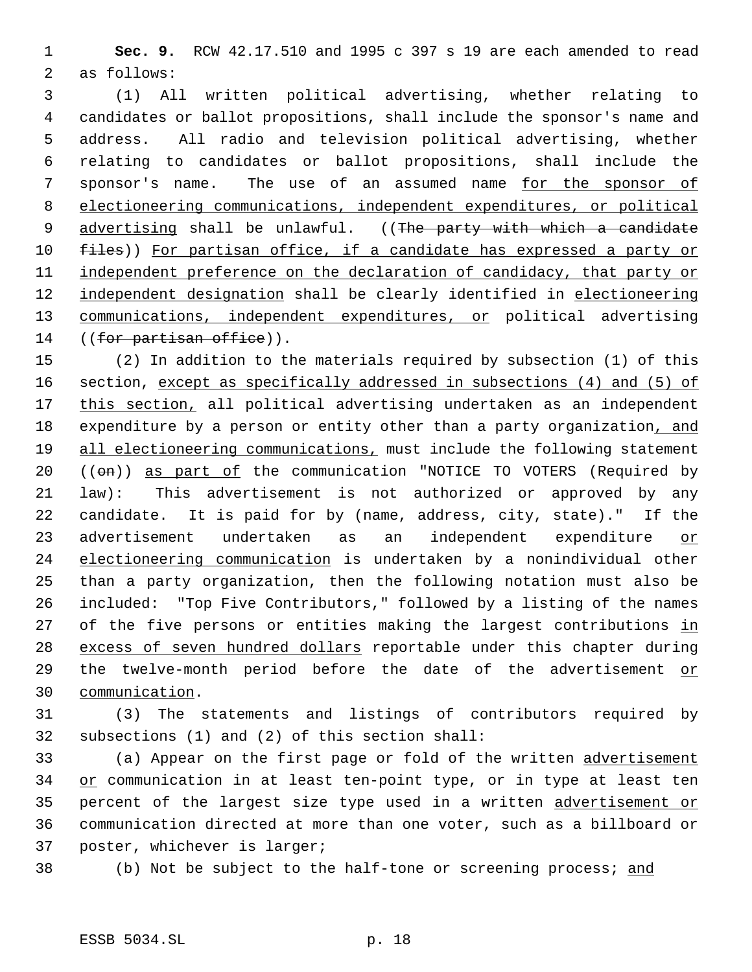1 **Sec. 9.** RCW 42.17.510 and 1995 c 397 s 19 are each amended to read 2 as follows:

 3 (1) All written political advertising, whether relating to 4 candidates or ballot propositions, shall include the sponsor's name and 5 address. All radio and television political advertising, whether 6 relating to candidates or ballot propositions, shall include the 7 sponsor's name. The use of an assumed name for the sponsor of 8 electioneering communications, independent expenditures, or political 9 advertising shall be unlawful. ((The party with which a candidate 10 files)) For partisan office, if a candidate has expressed a party or 11 independent preference on the declaration of candidacy, that party or 12 independent designation shall be clearly identified in electioneering 13 communications, independent expenditures, or political advertising 14 ((for partisan office)).

15 (2) In addition to the materials required by subsection (1) of this 16 section, except as specifically addressed in subsections (4) and (5) of 17 this section, all political advertising undertaken as an independent 18 expenditure by a person or entity other than a party organization, and 19 all electioneering communications, must include the following statement 20 ((on)) as part of the communication "NOTICE TO VOTERS (Required by 21 law): This advertisement is not authorized or approved by any 22 candidate. It is paid for by (name, address, city, state)." If the 23 advertisement undertaken as an independent expenditure or 24 electioneering communication is undertaken by a nonindividual other 25 than a party organization, then the following notation must also be 26 included: "Top Five Contributors," followed by a listing of the names 27 of the five persons or entities making the largest contributions in 28 excess of seven hundred dollars reportable under this chapter during 29 the twelve-month period before the date of the advertisement or 30 communication.

31 (3) The statements and listings of contributors required by 32 subsections (1) and (2) of this section shall:

33 (a) Appear on the first page or fold of the written advertisement 34 or communication in at least ten-point type, or in type at least ten 35 percent of the largest size type used in a written advertisement or 36 communication directed at more than one voter, such as a billboard or 37 poster, whichever is larger;

38 (b) Not be subject to the half-tone or screening process; and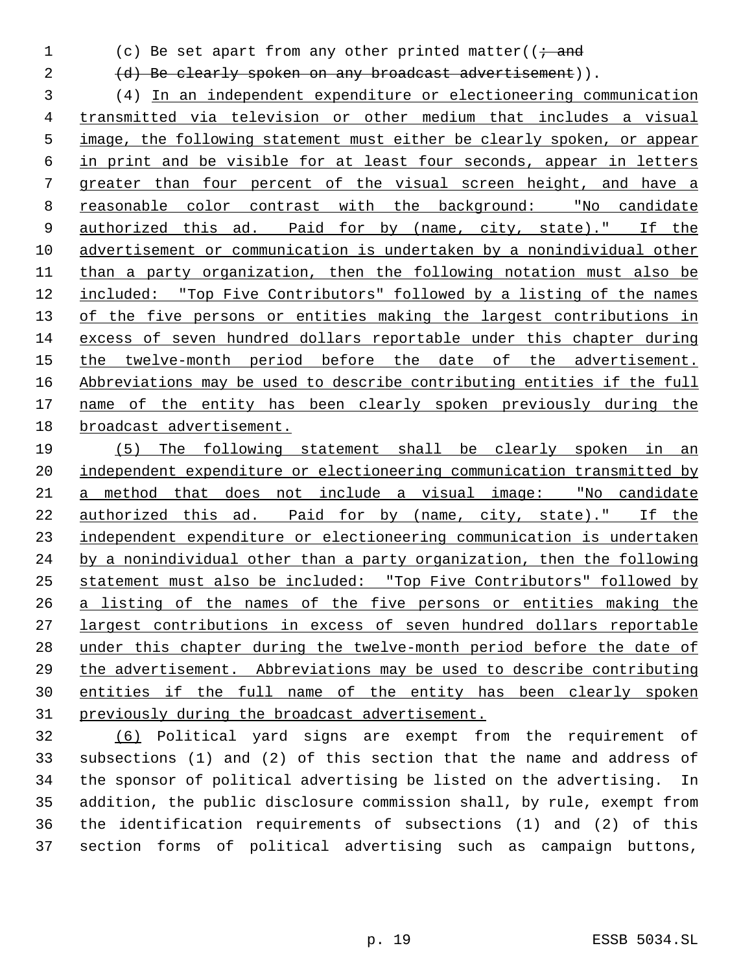1 (c) Be set apart from any other printed matter( $\overline{t}$  and

2 (d) Be clearly spoken on any broadcast advertisement)).

 (4) In an independent expenditure or electioneering communication transmitted via television or other medium that includes a visual image, the following statement must either be clearly spoken, or appear in print and be visible for at least four seconds, appear in letters greater than four percent of the visual screen height, and have a reasonable color contrast with the background: "No candidate 9 authorized this ad. Paid for by (name, city, state)." If the advertisement or communication is undertaken by a nonindividual other than a party organization, then the following notation must also be included: "Top Five Contributors" followed by a listing of the names 13 of the five persons or entities making the largest contributions in excess of seven hundred dollars reportable under this chapter during the twelve-month period before the date of the advertisement. Abbreviations may be used to describe contributing entities if the full 17 name of the entity has been clearly spoken previously during the broadcast advertisement.

 (5) The following statement shall be clearly spoken in an 20 independent expenditure or electioneering communication transmitted by a method that does not include a visual image: "No candidate authorized this ad. Paid for by (name, city, state)." If the independent expenditure or electioneering communication is undertaken by a nonindividual other than a party organization, then the following statement must also be included: "Top Five Contributors" followed by a listing of the names of the five persons or entities making the largest contributions in excess of seven hundred dollars reportable under this chapter during the twelve-month period before the date of the advertisement. Abbreviations may be used to describe contributing entities if the full name of the entity has been clearly spoken previously during the broadcast advertisement.

 (6) Political yard signs are exempt from the requirement of subsections (1) and (2) of this section that the name and address of the sponsor of political advertising be listed on the advertising. In addition, the public disclosure commission shall, by rule, exempt from the identification requirements of subsections (1) and (2) of this section forms of political advertising such as campaign buttons,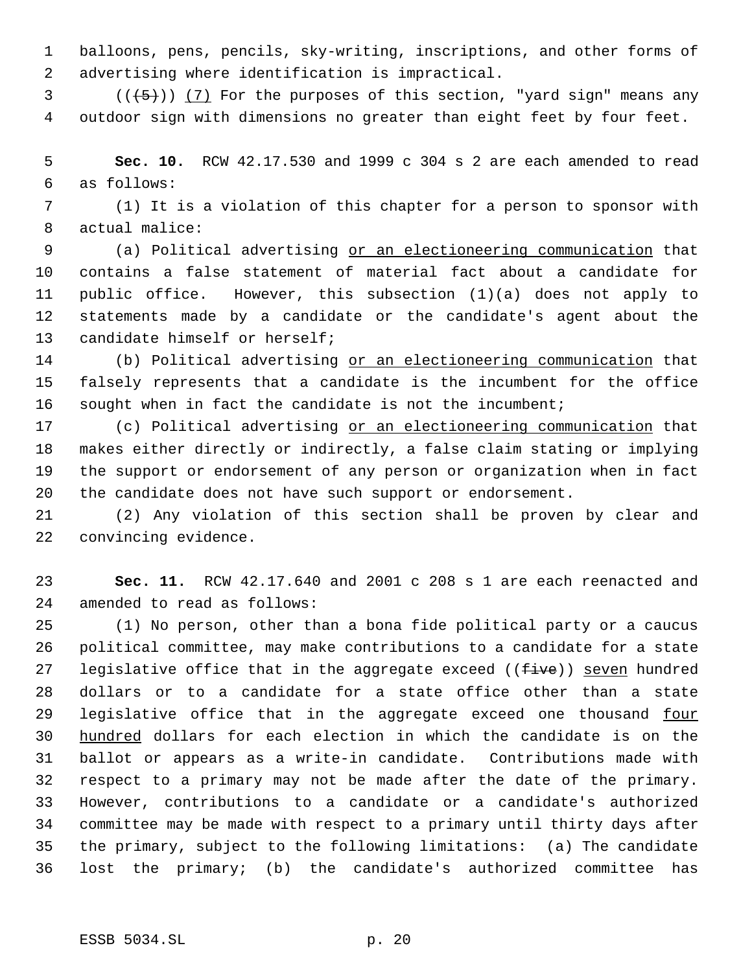balloons, pens, pencils, sky-writing, inscriptions, and other forms of advertising where identification is impractical.

 (( $(5)$ )) (7) For the purposes of this section, "yard sign" means any outdoor sign with dimensions no greater than eight feet by four feet.

 **Sec. 10.** RCW 42.17.530 and 1999 c 304 s 2 are each amended to read as follows:

 (1) It is a violation of this chapter for a person to sponsor with actual malice:

 (a) Political advertising or an electioneering communication that contains a false statement of material fact about a candidate for public office. However, this subsection (1)(a) does not apply to statements made by a candidate or the candidate's agent about the candidate himself or herself;

 (b) Political advertising or an electioneering communication that falsely represents that a candidate is the incumbent for the office sought when in fact the candidate is not the incumbent;

 (c) Political advertising or an electioneering communication that makes either directly or indirectly, a false claim stating or implying the support or endorsement of any person or organization when in fact the candidate does not have such support or endorsement.

 (2) Any violation of this section shall be proven by clear and convincing evidence.

 **Sec. 11.** RCW 42.17.640 and 2001 c 208 s 1 are each reenacted and amended to read as follows:

 (1) No person, other than a bona fide political party or a caucus political committee, may make contributions to a candidate for a state 27 legislative office that in the aggregate exceed  $((\pm i\pi e))$  seven hundred dollars or to a candidate for a state office other than a state 29 legislative office that in the aggregate exceed one thousand four hundred dollars for each election in which the candidate is on the ballot or appears as a write-in candidate. Contributions made with respect to a primary may not be made after the date of the primary. However, contributions to a candidate or a candidate's authorized committee may be made with respect to a primary until thirty days after the primary, subject to the following limitations: (a) The candidate lost the primary; (b) the candidate's authorized committee has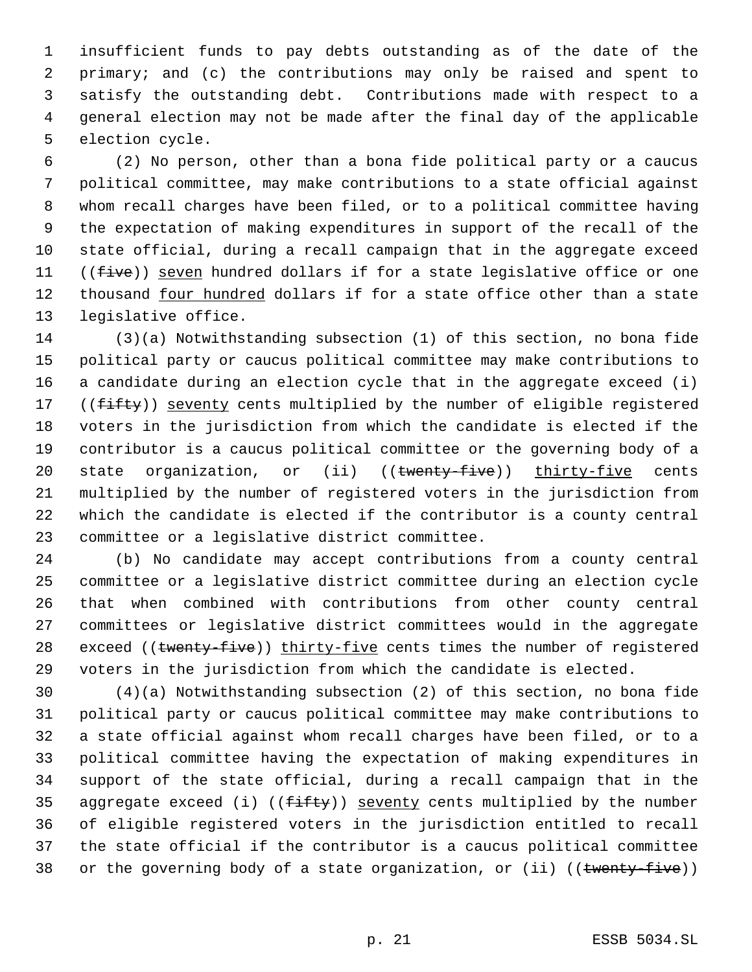insufficient funds to pay debts outstanding as of the date of the primary; and (c) the contributions may only be raised and spent to satisfy the outstanding debt. Contributions made with respect to a general election may not be made after the final day of the applicable election cycle.

 (2) No person, other than a bona fide political party or a caucus political committee, may make contributions to a state official against whom recall charges have been filed, or to a political committee having the expectation of making expenditures in support of the recall of the state official, during a recall campaign that in the aggregate exceed 11 ((five)) seven hundred dollars if for a state legislative office or one 12 thousand four hundred dollars if for a state office other than a state legislative office.

 (3)(a) Notwithstanding subsection (1) of this section, no bona fide political party or caucus political committee may make contributions to a candidate during an election cycle that in the aggregate exceed (i) 17 ((fifty)) seventy cents multiplied by the number of eligible registered voters in the jurisdiction from which the candidate is elected if the contributor is a caucus political committee or the governing body of a 20 state organization, or (ii) ((twenty-five)) thirty-five cents multiplied by the number of registered voters in the jurisdiction from which the candidate is elected if the contributor is a county central committee or a legislative district committee.

 (b) No candidate may accept contributions from a county central committee or a legislative district committee during an election cycle that when combined with contributions from other county central committees or legislative district committees would in the aggregate 28 exceed ((twenty-five)) thirty-five cents times the number of registered voters in the jurisdiction from which the candidate is elected.

 (4)(a) Notwithstanding subsection (2) of this section, no bona fide political party or caucus political committee may make contributions to a state official against whom recall charges have been filed, or to a political committee having the expectation of making expenditures in support of the state official, during a recall campaign that in the 35 aggregate exceed (i) (( $f$ ifty)) seventy cents multiplied by the number of eligible registered voters in the jurisdiction entitled to recall the state official if the contributor is a caucus political committee 38 or the governing body of a state organization, or (ii) ((twenty-five))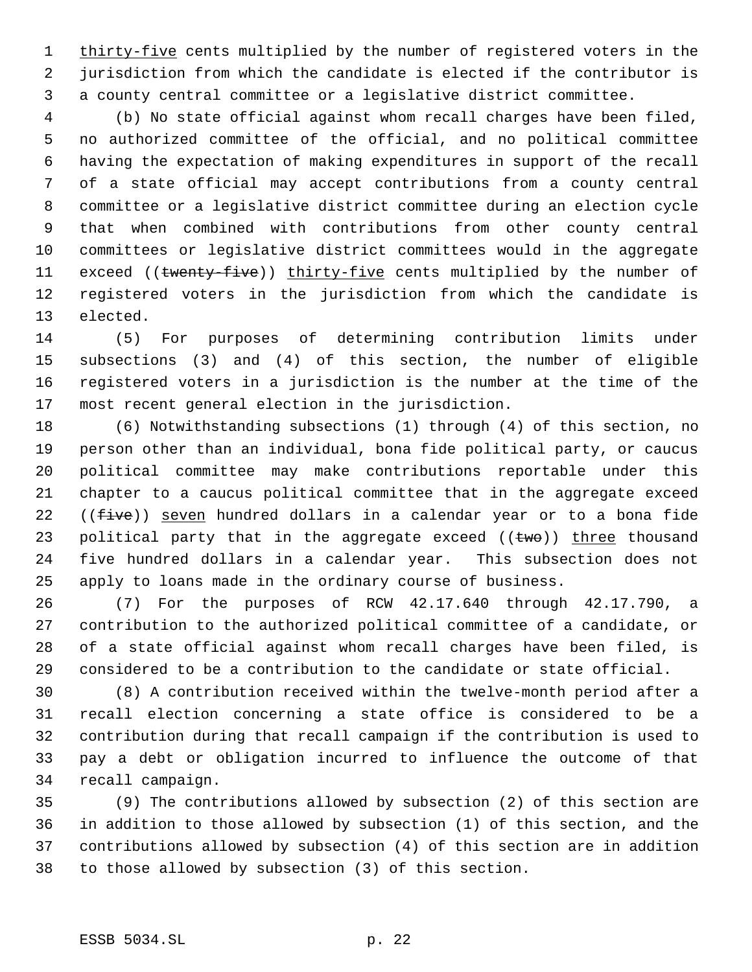1 thirty-five cents multiplied by the number of registered voters in the jurisdiction from which the candidate is elected if the contributor is a county central committee or a legislative district committee.

 (b) No state official against whom recall charges have been filed, no authorized committee of the official, and no political committee having the expectation of making expenditures in support of the recall of a state official may accept contributions from a county central committee or a legislative district committee during an election cycle that when combined with contributions from other county central committees or legislative district committees would in the aggregate 11 exceed ((twenty-five)) thirty-five cents multiplied by the number of registered voters in the jurisdiction from which the candidate is elected.

 (5) For purposes of determining contribution limits under subsections (3) and (4) of this section, the number of eligible registered voters in a jurisdiction is the number at the time of the most recent general election in the jurisdiction.

 (6) Notwithstanding subsections (1) through (4) of this section, no person other than an individual, bona fide political party, or caucus political committee may make contributions reportable under this chapter to a caucus political committee that in the aggregate exceed 22 ((five)) seven hundred dollars in a calendar year or to a bona fide 23 political party that in the aggregate exceed  $((\text{two}))$  three thousand five hundred dollars in a calendar year. This subsection does not apply to loans made in the ordinary course of business.

 (7) For the purposes of RCW 42.17.640 through 42.17.790, a contribution to the authorized political committee of a candidate, or of a state official against whom recall charges have been filed, is considered to be a contribution to the candidate or state official.

 (8) A contribution received within the twelve-month period after a recall election concerning a state office is considered to be a contribution during that recall campaign if the contribution is used to pay a debt or obligation incurred to influence the outcome of that recall campaign.

 (9) The contributions allowed by subsection (2) of this section are in addition to those allowed by subsection (1) of this section, and the contributions allowed by subsection (4) of this section are in addition to those allowed by subsection (3) of this section.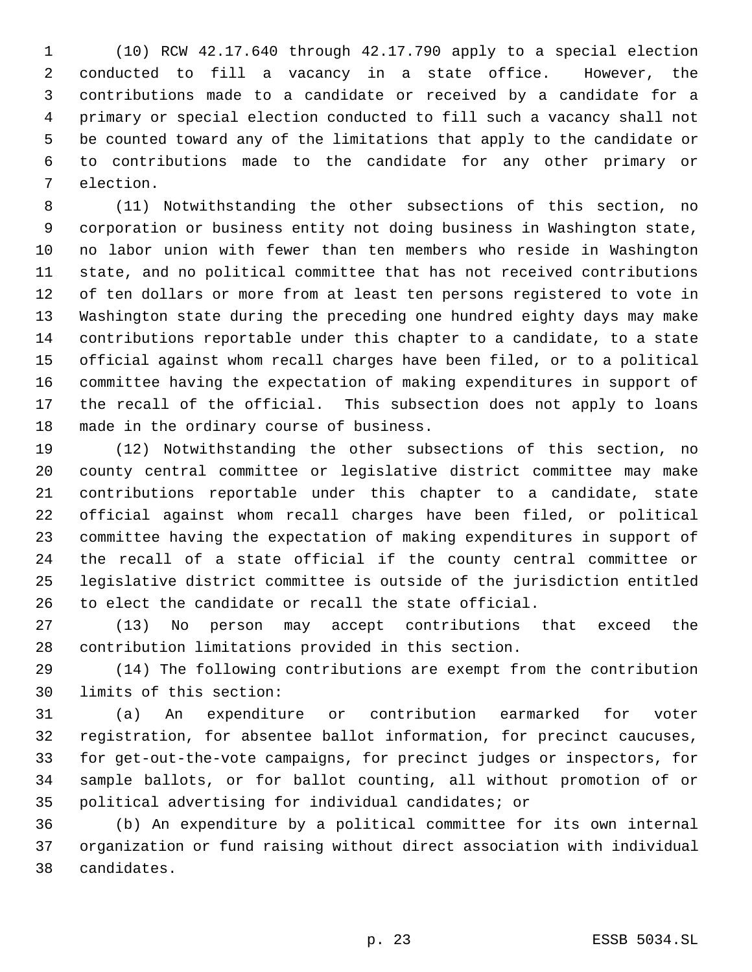(10) RCW 42.17.640 through 42.17.790 apply to a special election conducted to fill a vacancy in a state office. However, the contributions made to a candidate or received by a candidate for a primary or special election conducted to fill such a vacancy shall not be counted toward any of the limitations that apply to the candidate or to contributions made to the candidate for any other primary or election.

 (11) Notwithstanding the other subsections of this section, no corporation or business entity not doing business in Washington state, no labor union with fewer than ten members who reside in Washington state, and no political committee that has not received contributions of ten dollars or more from at least ten persons registered to vote in Washington state during the preceding one hundred eighty days may make contributions reportable under this chapter to a candidate, to a state official against whom recall charges have been filed, or to a political committee having the expectation of making expenditures in support of the recall of the official. This subsection does not apply to loans made in the ordinary course of business.

 (12) Notwithstanding the other subsections of this section, no county central committee or legislative district committee may make contributions reportable under this chapter to a candidate, state official against whom recall charges have been filed, or political committee having the expectation of making expenditures in support of the recall of a state official if the county central committee or legislative district committee is outside of the jurisdiction entitled to elect the candidate or recall the state official.

 (13) No person may accept contributions that exceed the contribution limitations provided in this section.

 (14) The following contributions are exempt from the contribution limits of this section:

 (a) An expenditure or contribution earmarked for voter registration, for absentee ballot information, for precinct caucuses, for get-out-the-vote campaigns, for precinct judges or inspectors, for sample ballots, or for ballot counting, all without promotion of or political advertising for individual candidates; or

 (b) An expenditure by a political committee for its own internal organization or fund raising without direct association with individual candidates.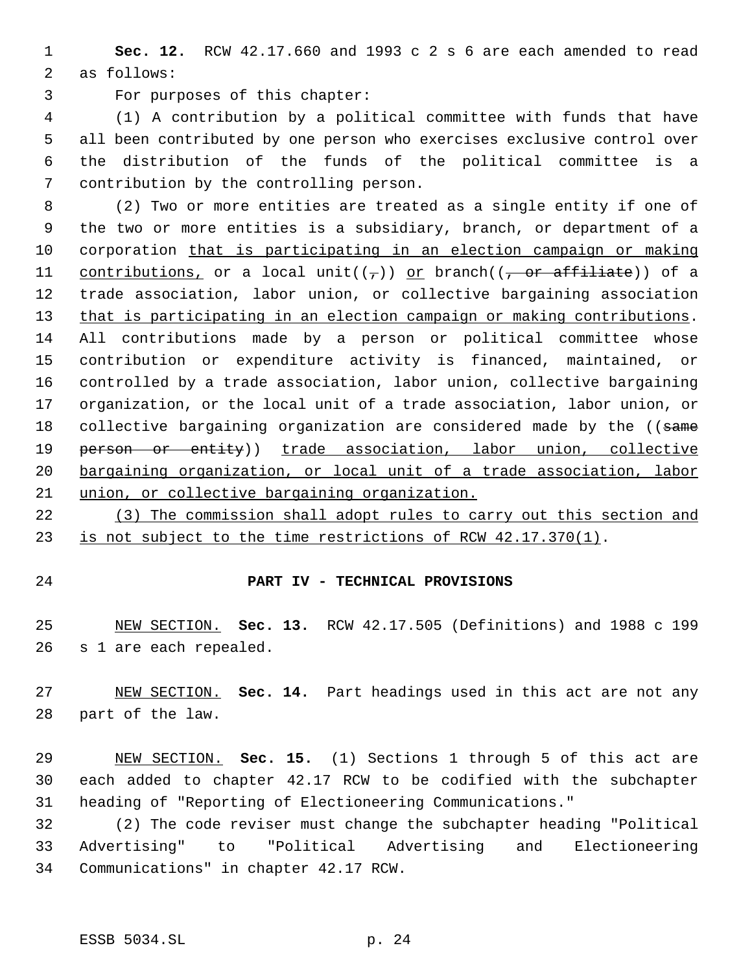**Sec. 12.** RCW 42.17.660 and 1993 c 2 s 6 are each amended to read as follows:

For purposes of this chapter:

 (1) A contribution by a political committee with funds that have all been contributed by one person who exercises exclusive control over the distribution of the funds of the political committee is a contribution by the controlling person.

 (2) Two or more entities are treated as a single entity if one of the two or more entities is a subsidiary, branch, or department of a corporation that is participating in an election campaign or making 11 contributions, or a local unit( $(\tau)$ ) or branch( $(\tau)$  or affiliate)) of a trade association, labor union, or collective bargaining association 13 that is participating in an election campaign or making contributions. All contributions made by a person or political committee whose contribution or expenditure activity is financed, maintained, or controlled by a trade association, labor union, collective bargaining organization, or the local unit of a trade association, labor union, or 18 collective bargaining organization are considered made by the ((same 19 person or entity)) trade association, labor union, collective bargaining organization, or local unit of a trade association, labor union, or collective bargaining organization.

 (3) The commission shall adopt rules to carry out this section and is not subject to the time restrictions of RCW 42.17.370(1).

### **PART IV - TECHNICAL PROVISIONS**

 NEW SECTION. **Sec. 13.** RCW 42.17.505 (Definitions) and 1988 c 199 s 1 are each repealed.

 NEW SECTION. **Sec. 14.** Part headings used in this act are not any part of the law.

 NEW SECTION. **Sec. 15.** (1) Sections 1 through 5 of this act are each added to chapter 42.17 RCW to be codified with the subchapter heading of "Reporting of Electioneering Communications."

 (2) The code reviser must change the subchapter heading "Political Advertising" to "Political Advertising and Electioneering Communications" in chapter 42.17 RCW.